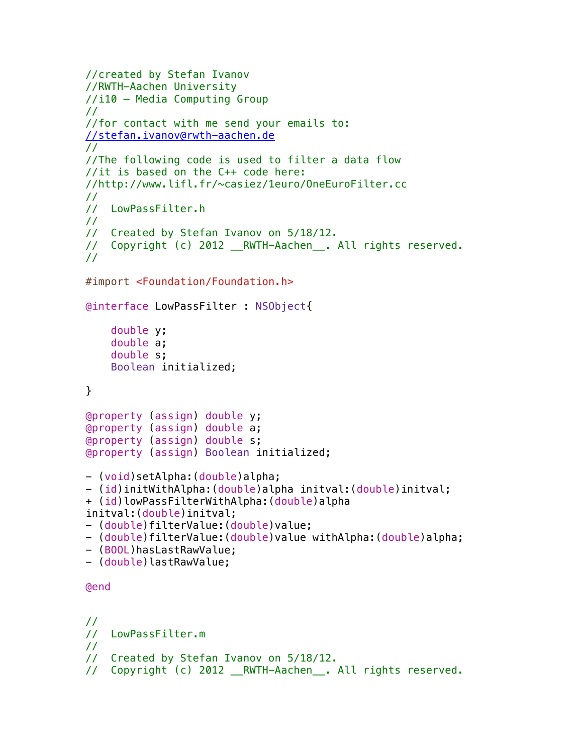```
//created by Stefan Ivanov
//RWTH-Aachen University
//i10 – Media Computing Group
//
//for contact with me send your emails to:
//stefan.ivanov@rwth-aachen.de
//
//The following code is used to filter a data flow
//it is based on the C++ code here: 
//http://www.lifl.fr/~casiez/1euro/OneEuroFilter.cc
//
// LowPassFilter.h
//
// Created by Stefan Ivanov on 5/18/12.
// Copyright (c) 2012 __RWTH-Aachen__. All rights reserved.
//
#import <Foundation/Foundation.h>
@interface LowPassFilter : NSObject{
     double y;
     double a;
     double s;
     Boolean initialized;
}
@property (assign) double y;
@property (assign) double a;
@property (assign) double s;
@property (assign) Boolean initialized;
- (void)setAlpha:(double)alpha;
- (id)initWithAlpha:(double)alpha initval:(double)initval;
+ (id)lowPassFilterWithAlpha:(double)alpha 
initval:(double)initval;
- (double)filterValue:(double)value;
- (double)filterValue:(double)value withAlpha:(double)alpha;
- (BOOL)hasLastRawValue;
- (double)lastRawValue;
@end
//
// LowPassFilter.m
//
// Created by Stefan Ivanov on 5/18/12.
// Copyright (c) 2012 RWTH-Aachen . All rights reserved.
```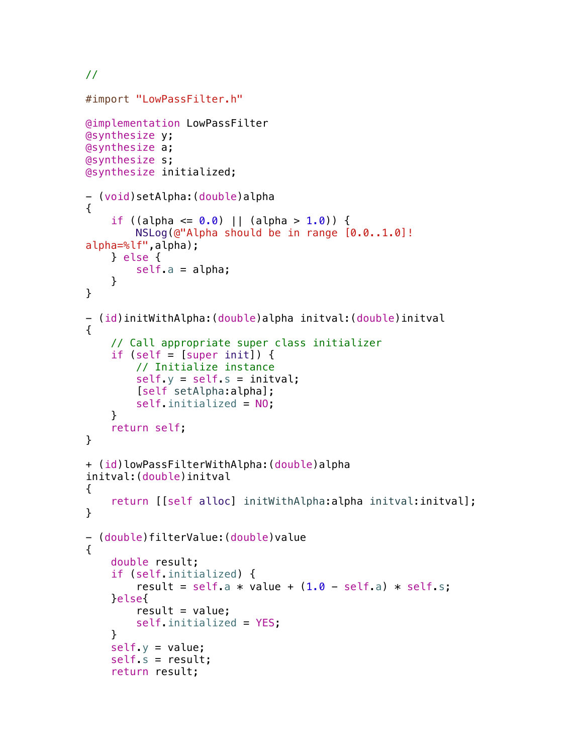//

```
#import "LowPassFilter.h"
@implementation LowPassFilter
@synthesize y;
@synthesize a;
@synthesize s;
@synthesize initialized;
- (void)setAlpha:(double)alpha
{
    if ((alpha <= 0.0) || (alpha > 1.0)) {
         NSLog(@"Alpha should be in range [0.0..1.0]! 
alpha=%lf",alpha);
     } else {
        self.a = alpha; }
}
- (id)initWithAlpha:(double)alpha initval:(double)initval
{
     // Call appropriate super class initializer
    if (self = [super init]) \{ // Initialize instance
        self y = self s = initval; [self setAlpha:alpha];
         self.initialized = NO;
     }
     return self;
}
+ (id)lowPassFilterWithAlpha:(double)alpha 
initval:(double)initval
{ 
     return [[self alloc] initWithAlpha:alpha initval:initval];
}
- (double)filterValue:(double)value
{ 
     double result;
     if (self.initialized) {
        result = self.a * value + (1.0 - \text{self.a}) * \text{self.s}; }else{
        result = value;
        self.initialized = YES;
     }
    self y = value;
     self.s = result;
     return result;
```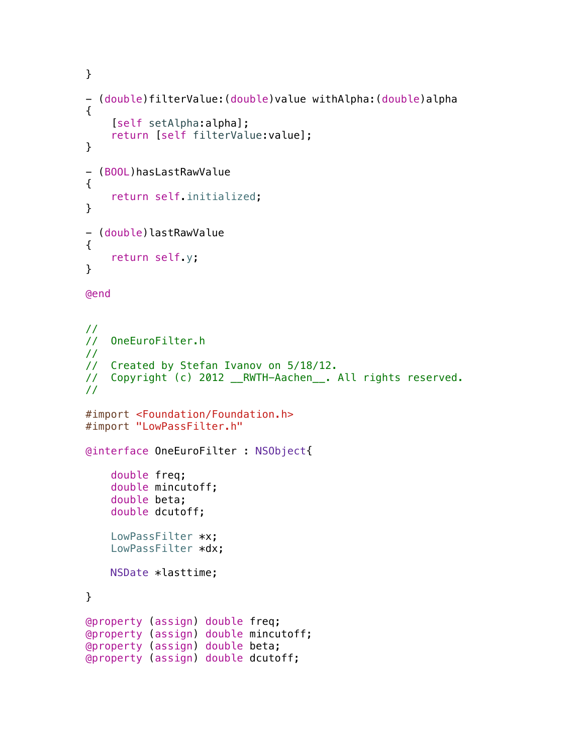```
}
- (double)filterValue:(double)value withAlpha:(double)alpha
{
     [self setAlpha:alpha];
     return [self filterValue:value];
}
- (BOOL)hasLastRawValue
{
     return self.initialized;
}
- (double)lastRawValue
{
     return self.y;
}
@end
//
// OneEuroFilter.h
//
// Created by Stefan Ivanov on 5/18/12.
// Copyright (c) 2012 __RWTH-Aachen__. All rights reserved.
//
#import <Foundation/Foundation.h>
#import "LowPassFilter.h"
@interface OneEuroFilter : NSObject{
     double freq;
     double mincutoff;
     double beta;
     double dcutoff;
     LowPassFilter *x;
     LowPassFilter *dx;
    NSDate *lasttime;
}
@property (assign) double freq;
@property (assign) double mincutoff;
@property (assign) double beta;
@property (assign) double dcutoff;
```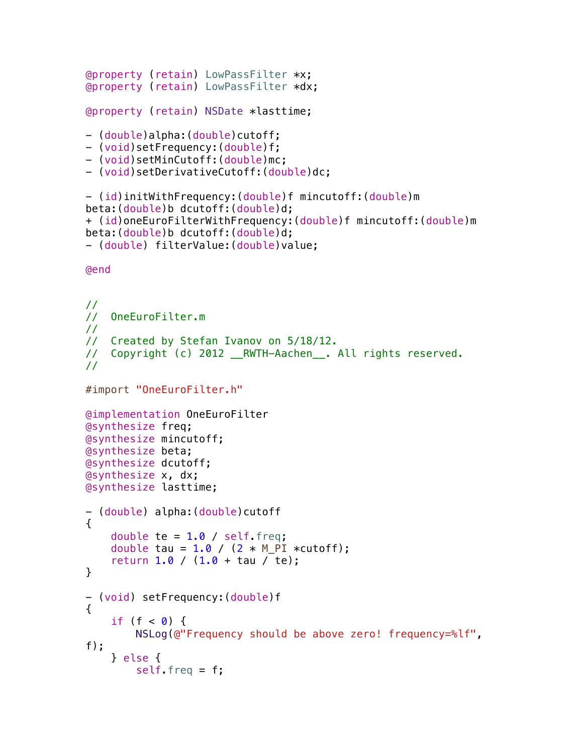```
@property (retain) LowPassFilter *x;
@property (retain) LowPassFilter *dx;
@property (retain) NSDate *lasttime;
- (double)alpha: (double)cutoff;
- (void)setFrequency:(double)f;
- (void)setMinCutoff:(double)mc;
- (void)setDerivativeCutoff:(double)dc;
- (id)initWithFrequency:(double)f mincutoff:(double)m 
beta:(double)b dcutoff:(double)d;
+ (id)oneEuroFilterWithFrequency:(double)f mincutoff:(double)m 
beta:(double)b dcutoff:(double)d;
- (double) filterValue:(double)value;
@end
//
// OneEuroFilter.m
//
// Created by Stefan Ivanov on 5/18/12.
// Copyright (c) 2012 RWTH-Aachen . All rights reserved.
//
#import "OneEuroFilter.h"
@implementation OneEuroFilter
@synthesize freq;
@synthesize mincutoff;
@synthesize beta;
@synthesize dcutoff;
@synthesize x, dx;
@synthesize lasttime;
- (double) alpha:(double)cutoff
{
    double te = 1.0 / self. freq;
    double tau = 1.0 / (2 * M_PI *cutoff);
    return 1.0 / (1.0 + \tan / \text{te});
}
- (void) setFrequency:(double)f
{
    if (f < 0) {
        NSLog(@"Frequency should be above zero! frequency=%lf", 
f);
     } else {
        self. freq = f;
```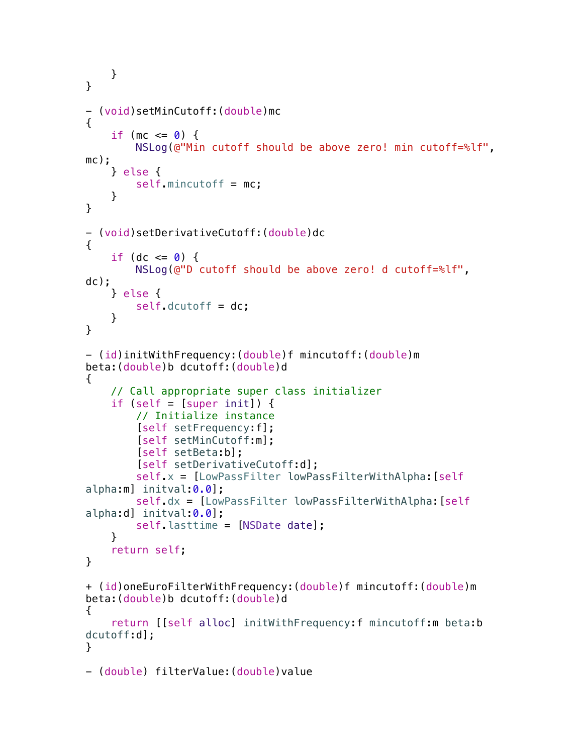```
 }
}
- (void)setMinCutoff:(double)mc
{
    if (mc \leq 0) {
         NSLog(@"Min cutoff should be above zero! min cutoff=%lf", 
mc);
     } else {
         self.mincutoff = mc;
     }
}
- (void)setDerivativeCutoff:(double)dc
{
    if (dc \leq 0) {
         NSLog(@"D cutoff should be above zero! d cutoff=%lf", 
dc);
     } else {
        self.dcutoff = dc;
     }
}
- (id)initWithFrequency:(double)f mincutoff:(double)m 
beta:(double)b dcutoff:(double)d
{
     // Call appropriate super class initializer
    if (self = [super init]) {
         // Initialize instance
         [self setFrequency:f];
         [self setMinCutoff:m];
         [self setBeta:b];
         [self setDerivativeCutoff:d];
         self.x = [LowPassFilter lowPassFilterWithAlpha:[self
alpha:ml initval: 0.0];
         self.dx = [LowPassFilter lowPassFilterWithAlpha:[self
alpha:d] initval:0.0];
         self.lasttime = [NSDate date];
     }
     return self;
}
+ (id)oneEuroFilterWithFrequency:(double)f mincutoff:(double)m 
beta:(double)b dcutoff:(double)d
{
     return [[self alloc] initWithFrequency:f mincutoff:m beta:b 
dcutoff:d];
}
- (double) filterValue:(double)value
```